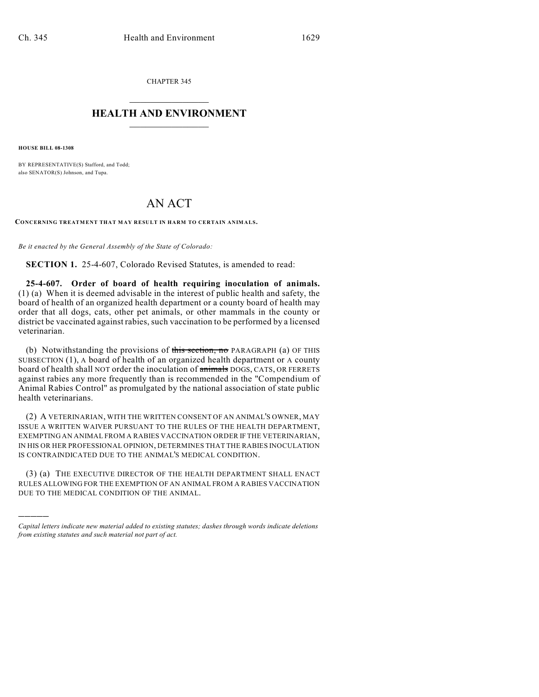CHAPTER 345  $\overline{\phantom{a}}$  . The set of the set of the set of the set of the set of the set of the set of the set of the set of the set of the set of the set of the set of the set of the set of the set of the set of the set of the set o

## **HEALTH AND ENVIRONMENT**  $\_$

**HOUSE BILL 08-1308**

)))))

BY REPRESENTATIVE(S) Stafford, and Todd; also SENATOR(S) Johnson, and Tupa.

## AN ACT

**CONCERNING TREATMENT THAT MAY RESULT IN HARM TO CERTAIN ANIMALS.**

*Be it enacted by the General Assembly of the State of Colorado:*

**SECTION 1.** 25-4-607, Colorado Revised Statutes, is amended to read:

**25-4-607. Order of board of health requiring inoculation of animals.** (1) (a) When it is deemed advisable in the interest of public health and safety, the board of health of an organized health department or a county board of health may order that all dogs, cats, other pet animals, or other mammals in the county or district be vaccinated against rabies, such vaccination to be performed by a licensed veterinarian.

(b) Notwithstanding the provisions of this section, no PARAGRAPH (a) OF THIS SUBSECTION (1), A board of health of an organized health department or A county board of health shall NOT order the inoculation of **animals** DOGS, CATS, OR FERRETS against rabies any more frequently than is recommended in the "Compendium of Animal Rabies Control" as promulgated by the national association of state public health veterinarians.

(2) A VETERINARIAN, WITH THE WRITTEN CONSENT OF AN ANIMAL'S OWNER, MAY ISSUE A WRITTEN WAIVER PURSUANT TO THE RULES OF THE HEALTH DEPARTMENT, EXEMPTING AN ANIMAL FROM A RABIES VACCINATION ORDER IF THE VETERINARIAN, IN HIS OR HER PROFESSIONAL OPINION, DETERMINES THAT THE RABIES INOCULATION IS CONTRAINDICATED DUE TO THE ANIMAL'S MEDICAL CONDITION.

(3) (a) THE EXECUTIVE DIRECTOR OF THE HEALTH DEPARTMENT SHALL ENACT RULES ALLOWING FOR THE EXEMPTION OF AN ANIMAL FROM A RABIES VACCINATION DUE TO THE MEDICAL CONDITION OF THE ANIMAL.

*Capital letters indicate new material added to existing statutes; dashes through words indicate deletions from existing statutes and such material not part of act.*